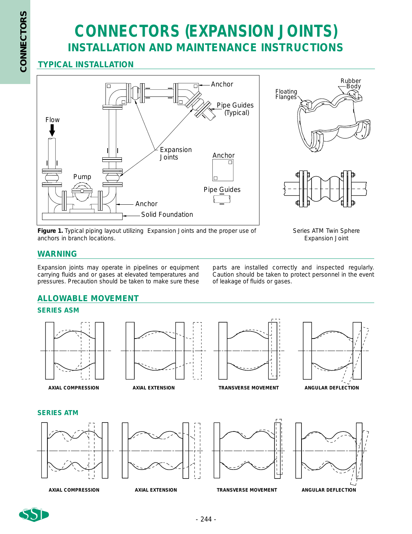## **CONNECTORS (EXPANSION JOINTS) INSTALLATION AND MAINTENANCE INSTRUCTIONS**

### **TYPICAL INSTALLATION**





**Figure 1.** Typical piping layout utilizing Expansion Joints and the proper use of anchors in branch locations.

Series ATM Twin Sphere Expansion Joint

#### **WARNING**

Expansion joints may operate in pipelines or equipment carrying fluids and or gases at elevated temperatures and pressures. Precaution should be taken to make sure these parts are installed correctly and inspected regularly. Caution should be taken to protect personnel in the event of leakage of fluids or gases.

### **ALLOWABLE MOVEMENT**

#### **SERIES ASM**







*AXIAL COMPRESSION AXIAL EXTENSION TRANSVERSE MOVEMENT ANGULAR DEFLECTION*